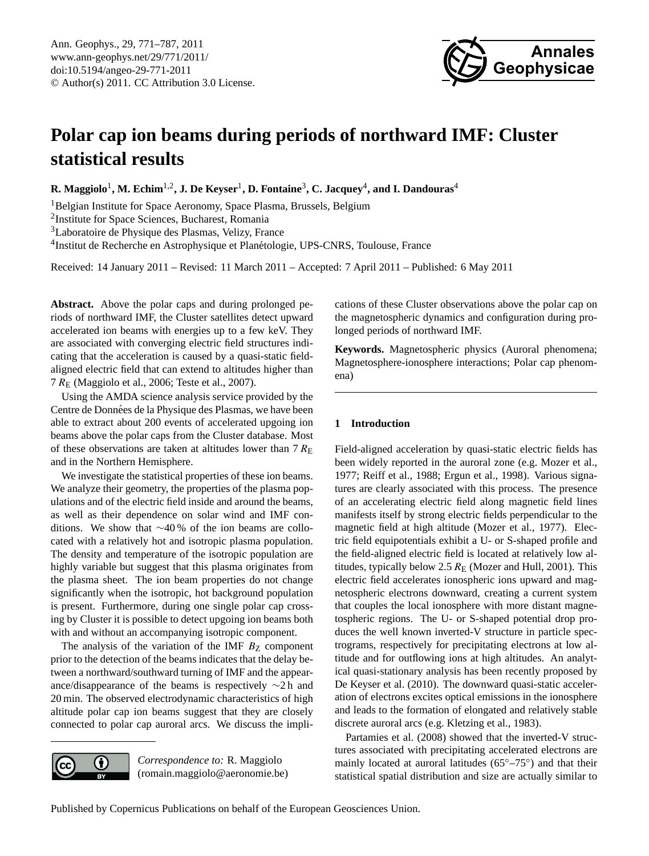

# <span id="page-0-0"></span>**Polar cap ion beams during periods of northward IMF: Cluster statistical results**

 ${\bf R.\ Maggiolo^1,\ M.\ Echim^{1,2} , J.\ De\ Keyser^1,\ D.\ Fontaine^3,\ C.\ Jacquey^4, and\ I.\ Dandouras^4$ 

<sup>1</sup>Belgian Institute for Space Aeronomy, Space Plasma, Brussels, Belgium

2 Institute for Space Sciences, Bucharest, Romania

<sup>3</sup>Laboratoire de Physique des Plasmas, Velizy, France

<sup>4</sup>Institut de Recherche en Astrophysique et Planétologie, UPS-CNRS, Toulouse, France

Received: 14 January 2011 – Revised: 11 March 2011 – Accepted: 7 April 2011 – Published: 6 May 2011

**Abstract.** Above the polar caps and during prolonged periods of northward IMF, the Cluster satellites detect upward accelerated ion beams with energies up to a few keV. They are associated with converging electric field structures indicating that the acceleration is caused by a quasi-static fieldaligned electric field that can extend to altitudes higher than 7 R<sup>E</sup> (Maggiolo et al., 2006; Teste et al., 2007).

Using the AMDA science analysis service provided by the Centre de Données de la Physique des Plasmas, we have been able to extract about 200 events of accelerated upgoing ion beams above the polar caps from the Cluster database. Most of these observations are taken at altitudes lower than  $7 R_{\rm E}$ and in the Northern Hemisphere.

We investigate the statistical properties of these ion beams. We analyze their geometry, the properties of the plasma populations and of the electric field inside and around the beams, as well as their dependence on solar wind and IMF conditions. We show that ∼40 % of the ion beams are collocated with a relatively hot and isotropic plasma population. The density and temperature of the isotropic population are highly variable but suggest that this plasma originates from the plasma sheet. The ion beam properties do not change significantly when the isotropic, hot background population is present. Furthermore, during one single polar cap crossing by Cluster it is possible to detect upgoing ion beams both with and without an accompanying isotropic component.

The analysis of the variation of the IMF  $B<sub>Z</sub>$  component prior to the detection of the beams indicates that the delay between a northward/southward turning of IMF and the appearance/disappearance of the beams is respectively ∼2 h and 20 min. The observed electrodynamic characteristics of high altitude polar cap ion beams suggest that they are closely connected to polar cap auroral arcs. We discuss the impli-

 $\left( \cdot \right)$ 

*Correspondence to:* R. Maggiolo (romain.maggiolo@aeronomie.be) cations of these Cluster observations above the polar cap on the magnetospheric dynamics and configuration during prolonged periods of northward IMF.

**Keywords.** Magnetospheric physics (Auroral phenomena; Magnetosphere-ionosphere interactions; Polar cap phenomena)

# **1 Introduction**

Field-aligned acceleration by quasi-static electric fields has been widely reported in the auroral zone (e.g. Mozer et al., 1977; Reiff et al., 1988; Ergun et al., 1998). Various signatures are clearly associated with this process. The presence of an accelerating electric field along magnetic field lines manifests itself by strong electric fields perpendicular to the magnetic field at high altitude (Mozer et al., 1977). Electric field equipotentials exhibit a U- or S-shaped profile and the field-aligned electric field is located at relatively low altitudes, typically below 2.5  $R_E$  (Mozer and Hull, 2001). This electric field accelerates ionospheric ions upward and magnetospheric electrons downward, creating a current system that couples the local ionosphere with more distant magnetospheric regions. The U- or S-shaped potential drop produces the well known inverted-V structure in particle spectrograms, respectively for precipitating electrons at low altitude and for outflowing ions at high altitudes. An analytical quasi-stationary analysis has been recently proposed by De Keyser et al. (2010). The downward quasi-static acceleration of electrons excites optical emissions in the ionosphere and leads to the formation of elongated and relatively stable discrete auroral arcs (e.g. Kletzing et al., 1983).

Partamies et al. (2008) showed that the inverted-V structures associated with precipitating accelerated electrons are mainly located at auroral latitudes (65°–75°) and that their statistical spatial distribution and size are actually similar to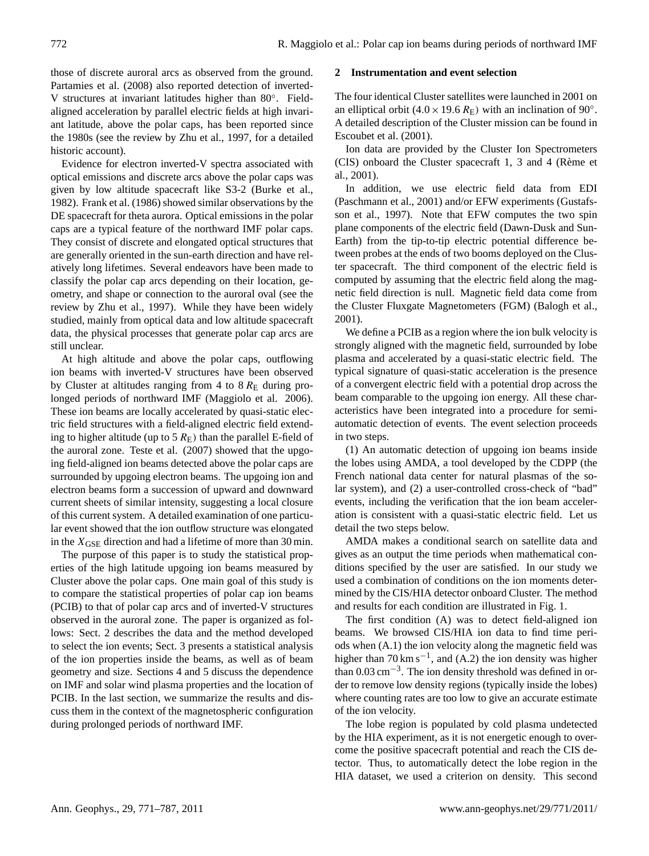those of discrete auroral arcs as observed from the ground. Partamies et al. (2008) also reported detection of inverted-V structures at invariant latitudes higher than 80◦ . Fieldaligned acceleration by parallel electric fields at high invariant latitude, above the polar caps, has been reported since the 1980s (see the review by Zhu et al., 1997, for a detailed historic account).

Evidence for electron inverted-V spectra associated with optical emissions and discrete arcs above the polar caps was given by low altitude spacecraft like S3-2 (Burke et al., 1982). Frank et al. (1986) showed similar observations by the DE spacecraft for theta aurora. Optical emissions in the polar caps are a typical feature of the northward IMF polar caps. They consist of discrete and elongated optical structures that are generally oriented in the sun-earth direction and have relatively long lifetimes. Several endeavors have been made to classify the polar cap arcs depending on their location, geometry, and shape or connection to the auroral oval (see the review by Zhu et al., 1997). While they have been widely studied, mainly from optical data and low altitude spacecraft data, the physical processes that generate polar cap arcs are still unclear.

At high altitude and above the polar caps, outflowing ion beams with inverted-V structures have been observed by Cluster at altitudes ranging from 4 to  $8 R<sub>E</sub>$  during prolonged periods of northward IMF (Maggiolo et al. 2006). These ion beams are locally accelerated by quasi-static electric field structures with a field-aligned electric field extending to higher altitude (up to  $5 R_{\rm E}$ ) than the parallel E-field of the auroral zone. Teste et al. (2007) showed that the upgoing field-aligned ion beams detected above the polar caps are surrounded by upgoing electron beams. The upgoing ion and electron beams form a succession of upward and downward current sheets of similar intensity, suggesting a local closure of this current system. A detailed examination of one particular event showed that the ion outflow structure was elongated in the  $X_{GSE}$  direction and had a lifetime of more than 30 min.

The purpose of this paper is to study the statistical properties of the high latitude upgoing ion beams measured by Cluster above the polar caps. One main goal of this study is to compare the statistical properties of polar cap ion beams (PCIB) to that of polar cap arcs and of inverted-V structures observed in the auroral zone. The paper is organized as follows: Sect. 2 describes the data and the method developed to select the ion events; Sect. 3 presents a statistical analysis of the ion properties inside the beams, as well as of beam geometry and size. Sections 4 and 5 discuss the dependence on IMF and solar wind plasma properties and the location of PCIB. In the last section, we summarize the results and discuss them in the context of the magnetospheric configuration during prolonged periods of northward IMF.

#### **2 Instrumentation and event selection**

The four identical Cluster satellites were launched in 2001 on an elliptical orbit (4.0 × 19.6  $R_{\rm E}$ ) with an inclination of 90°. A detailed description of the Cluster mission can be found in Escoubet et al. (2001).

Ion data are provided by the Cluster Ion Spectrometers (CIS) onboard the Cluster spacecraft 1, 3 and 4 (Reme et ` al., 2001).

In addition, we use electric field data from EDI (Paschmann et al., 2001) and/or EFW experiments (Gustafsson et al., 1997). Note that EFW computes the two spin plane components of the electric field (Dawn-Dusk and Sun-Earth) from the tip-to-tip electric potential difference between probes at the ends of two booms deployed on the Cluster spacecraft. The third component of the electric field is computed by assuming that the electric field along the magnetic field direction is null. Magnetic field data come from the Cluster Fluxgate Magnetometers (FGM) (Balogh et al., 2001).

We define a PCIB as a region where the ion bulk velocity is strongly aligned with the magnetic field, surrounded by lobe plasma and accelerated by a quasi-static electric field. The typical signature of quasi-static acceleration is the presence of a convergent electric field with a potential drop across the beam comparable to the upgoing ion energy. All these characteristics have been integrated into a procedure for semiautomatic detection of events. The event selection proceeds in two steps.

(1) An automatic detection of upgoing ion beams inside the lobes using AMDA, a tool developed by the CDPP (the French national data center for natural plasmas of the solar system), and (2) a user-controlled cross-check of "bad" events, including the verification that the ion beam acceleration is consistent with a quasi-static electric field. Let us detail the two steps below.

AMDA makes a conditional search on satellite data and gives as an output the time periods when mathematical conditions specified by the user are satisfied. In our study we used a combination of conditions on the ion moments determined by the CIS/HIA detector onboard Cluster. The method and results for each condition are illustrated in Fig. 1.

The first condition (A) was to detect field-aligned ion beams. We browsed CIS/HIA ion data to find time periods when (A.1) the ion velocity along the magnetic field was higher than  $70 \text{ km s}^{-1}$ , and (A.2) the ion density was higher than 0.03 cm−<sup>3</sup> . The ion density threshold was defined in order to remove low density regions (typically inside the lobes) where counting rates are too low to give an accurate estimate of the ion velocity.

The lobe region is populated by cold plasma undetected by the HIA experiment, as it is not energetic enough to overcome the positive spacecraft potential and reach the CIS detector. Thus, to automatically detect the lobe region in the HIA dataset, we used a criterion on density. This second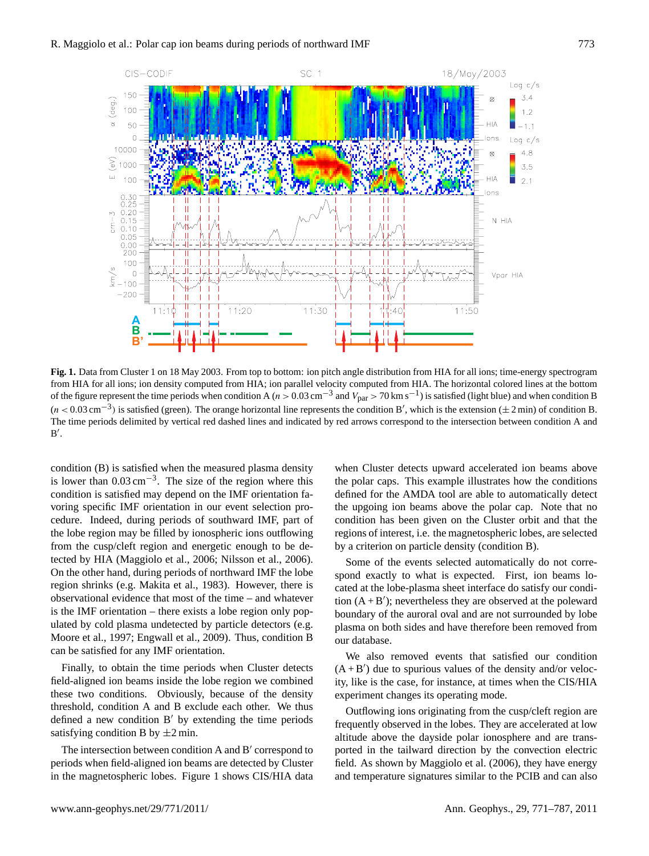

**Fig. 1.** Data from Cluster 1 on 18 May 2003. From top to bottom: ion pitch angle distribution from HIA for all ions; time-energy spectrogram from HIA for all ions; ion density computed from HIA; ion parallel velocity computed from HIA. The horizontal colored lines at the bottom of the figure represent the time periods when condition A ( $n > 0.03$  cm<sup>-3</sup> and  $V_{par} > 70$  km s<sup>-1</sup>) is satisfied (light blue) and when condition B  $(n < 0.03 \text{ cm}^{-3})$  is satisfied (green). The orange horizontal line represents the condition B', which is the extension ( $\pm 2 \text{ min}$ ) of condition B. The time periods delimited by vertical red dashed lines and indicated by red arrows correspond to the intersection between condition A and  $B'$ .

condition (B) is satisfied when the measured plasma density is lower than  $0.03 \text{ cm}^{-3}$ . The size of the region where this condition is satisfied may depend on the IMF orientation favoring specific IMF orientation in our event selection procedure. Indeed, during periods of southward IMF, part of the lobe region may be filled by ionospheric ions outflowing from the cusp/cleft region and energetic enough to be detected by HIA (Maggiolo et al., 2006; Nilsson et al., 2006). On the other hand, during periods of northward IMF the lobe region shrinks (e.g. Makita et al., 1983). However, there is observational evidence that most of the time – and whatever is the IMF orientation – there exists a lobe region only populated by cold plasma undetected by particle detectors (e.g. Moore et al., 1997; Engwall et al., 2009). Thus, condition B can be satisfied for any IMF orientation.

Finally, to obtain the time periods when Cluster detects field-aligned ion beams inside the lobe region we combined these two conditions. Obviously, because of the density threshold, condition A and B exclude each other. We thus defined a new condition  $B'$  by extending the time periods satisfying condition B by  $\pm 2$  min.

The intersection between condition A and B' correspond to periods when field-aligned ion beams are detected by Cluster in the magnetospheric lobes. Figure 1 shows CIS/HIA data

when Cluster detects upward accelerated ion beams above the polar caps. This example illustrates how the conditions defined for the AMDA tool are able to automatically detect the upgoing ion beams above the polar cap. Note that no condition has been given on the Cluster orbit and that the regions of interest, i.e. the magnetospheric lobes, are selected by a criterion on particle density (condition B).

Some of the events selected automatically do not correspond exactly to what is expected. First, ion beams located at the lobe-plasma sheet interface do satisfy our condition  $(A + B')$ ; nevertheless they are observed at the poleward boundary of the auroral oval and are not surrounded by lobe plasma on both sides and have therefore been removed from our database.

We also removed events that satisfied our condition  $(A + B')$  due to spurious values of the density and/or velocity, like is the case, for instance, at times when the CIS/HIA experiment changes its operating mode.

Outflowing ions originating from the cusp/cleft region are frequently observed in the lobes. They are accelerated at low altitude above the dayside polar ionosphere and are transported in the tailward direction by the convection electric field. As shown by Maggiolo et al. (2006), they have energy and temperature signatures similar to the PCIB and can also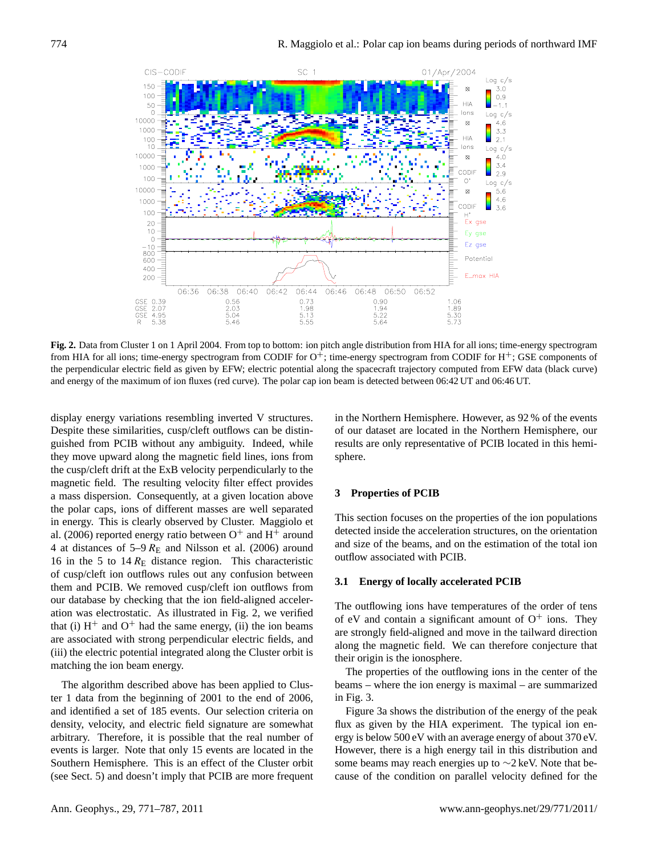

**Fig. 2.** Data from Cluster 1 on 1 April 2004. From top to bottom: ion pitch angle distribution from HIA for all ions; time-energy spectrogram from HIA for all ions; time-energy spectrogram from CODIF for  $O^+$ ; time-energy spectrogram from CODIF for  $H^+$ ; GSE components of the perpendicular electric field as given by EFW; electric potential along the spacecraft trajectory computed from EFW data (black curve) and energy of the maximum of ion fluxes (red curve). The polar cap ion beam is detected between 06:42 UT and 06:46 UT.

display energy variations resembling inverted V structures. Despite these similarities, cusp/cleft outflows can be distinguished from PCIB without any ambiguity. Indeed, while they move upward along the magnetic field lines, ions from the cusp/cleft drift at the ExB velocity perpendicularly to the magnetic field. The resulting velocity filter effect provides a mass dispersion. Consequently, at a given location above the polar caps, ions of different masses are well separated in energy. This is clearly observed by Cluster. Maggiolo et al. (2006) reported energy ratio between  $O^+$  and  $H^+$  around 4 at distances of  $5-9$   $R_E$  and Nilsson et al. (2006) around 16 in the 5 to  $14 R<sub>E</sub>$  distance region. This characteristic of cusp/cleft ion outflows rules out any confusion between them and PCIB. We removed cusp/cleft ion outflows from our database by checking that the ion field-aligned acceleration was electrostatic. As illustrated in Fig. 2, we verified that (i)  $H^+$  and  $O^+$  had the same energy, (ii) the ion beams are associated with strong perpendicular electric fields, and (iii) the electric potential integrated along the Cluster orbit is matching the ion beam energy.

The algorithm described above has been applied to Cluster 1 data from the beginning of 2001 to the end of 2006, and identified a set of 185 events. Our selection criteria on density, velocity, and electric field signature are somewhat arbitrary. Therefore, it is possible that the real number of events is larger. Note that only 15 events are located in the Southern Hemisphere. This is an effect of the Cluster orbit (see Sect. 5) and doesn't imply that PCIB are more frequent in the Northern Hemisphere. However, as 92 % of the events of our dataset are located in the Northern Hemisphere, our results are only representative of PCIB located in this hemisphere.

#### **3 Properties of PCIB**

This section focuses on the properties of the ion populations detected inside the acceleration structures, on the orientation and size of the beams, and on the estimation of the total ion outflow associated with PCIB.

#### **3.1 Energy of locally accelerated PCIB**

The outflowing ions have temperatures of the order of tens of eV and contain a significant amount of  $O^+$  ions. They are strongly field-aligned and move in the tailward direction along the magnetic field. We can therefore conjecture that their origin is the ionosphere.

The properties of the outflowing ions in the center of the beams – where the ion energy is maximal – are summarized in Fig. 3.

Figure 3a shows the distribution of the energy of the peak flux as given by the HIA experiment. The typical ion energy is below 500 eV with an average energy of about 370 eV. However, there is a high energy tail in this distribution and some beams may reach energies up to ∼2 keV. Note that because of the condition on parallel velocity defined for the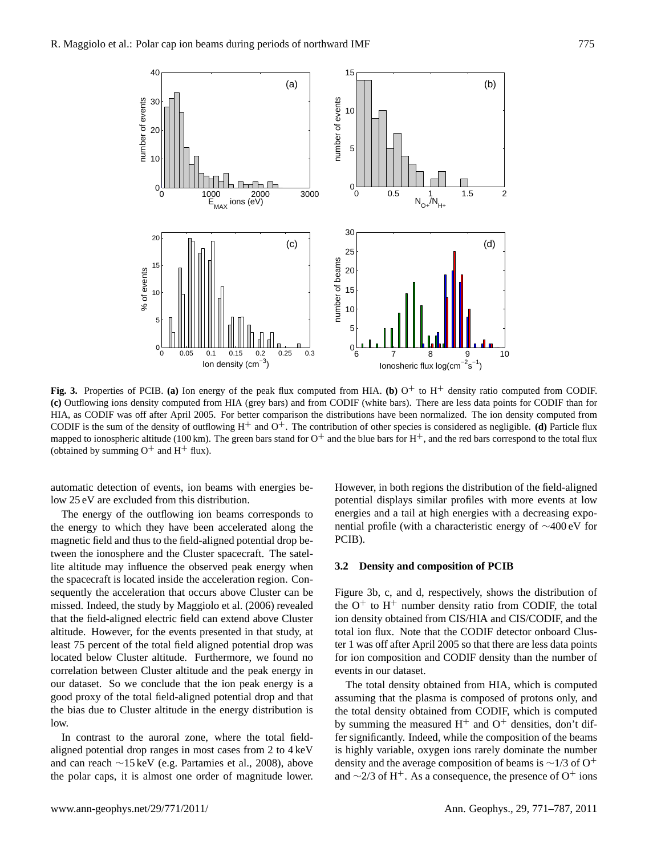

Fig. 3. Properties of PCIB. (a) Ion energy of the peak flux computed from HIA. (b)  $O^+$  to H<sup>+</sup> density ratio computed from CODIF. **(c)** Outflowing ions density computed from HIA (grey bars) and from CODIF (white bars). There are less data points for CODIF than for HIA, as CODIF was off after April 2005. For better comparison the distributions have been normalized. The ion density computed from CODIF is the sum of the density of outflowing  $H^+$  and  $O^+$ . The contribution of other species is considered as negligible. **(d)** Particle flux mapped to ionospheric altitude (100 km). The green bars stand for  $O^+$  and the blue bars for  $H^+$ , and the red bars correspond to the total flux (obtained by summing  $O^+$  and  $H^+$  flux).

automatic detection of events, ion beams with energies below 25 eV are excluded from this distribution.

The energy of the outflowing ion beams corresponds to the energy to which they have been accelerated along the magnetic field and thus to the field-aligned potential drop between the ionosphere and the Cluster spacecraft. The satellite altitude may influence the observed peak energy when the spacecraft is located inside the acceleration region. Consequently the acceleration that occurs above Cluster can be missed. Indeed, the study by Maggiolo et al. (2006) revealed that the field-aligned electric field can extend above Cluster altitude. However, for the events presented in that study, at least 75 percent of the total field aligned potential drop was located below Cluster altitude. Furthermore, we found no correlation between Cluster altitude and the peak energy in our dataset. So we conclude that the ion peak energy is a good proxy of the total field-aligned potential drop and that the bias due to Cluster altitude in the energy distribution is low.

In contrast to the auroral zone, where the total fieldaligned potential drop ranges in most cases from 2 to 4 keV and can reach ∼15 keV (e.g. Partamies et al., 2008), above the polar caps, it is almost one order of magnitude lower. However, in both regions the distribution of the field-aligned potential displays similar profiles with more events at low energies and a tail at high energies with a decreasing exponential profile (with a characteristic energy of ∼400 eV for PCIB).

#### **3.2 Density and composition of PCIB**

Figure 3b, c, and d, respectively, shows the distribution of the  $O^+$  to  $H^+$  number density ratio from CODIF, the total ion density obtained from CIS/HIA and CIS/CODIF, and the total ion flux. Note that the CODIF detector onboard Cluster 1 was off after April 2005 so that there are less data points for ion composition and CODIF density than the number of events in our dataset.

The total density obtained from HIA, which is computed assuming that the plasma is composed of protons only, and the total density obtained from CODIF, which is computed by summing the measured  $H^+$  and  $O^+$  densities, don't differ significantly. Indeed, while the composition of the beams is highly variable, oxygen ions rarely dominate the number density and the average composition of beams is  $\sim$ 1/3 of O<sup>+</sup> and  $\sim$ 2/3 of H<sup>+</sup>. As a consequence, the presence of O<sup>+</sup> ions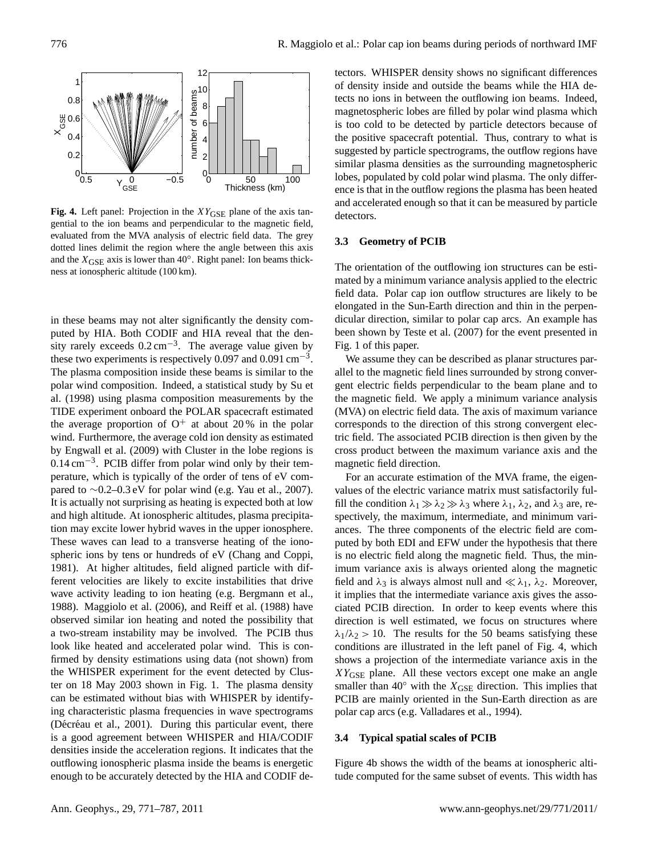

Fig. 4. Left panel: Projection in the XY<sub>GSE</sub> plane of the axis tangential to the ion beams and perpendicular to the magnetic field, evaluated from the MVA analysis of electric field data. The grey dotted lines delimit the region where the angle between this axis and the  $X_{\text{GSE}}$  axis is lower than 40 $^{\circ}$ . Right panel: Ion beams thickness at ionospheric altitude (100 km).

in these beams may not alter significantly the density computed by HIA. Both CODIF and HIA reveal that the density rarely exceeds  $0.2 \text{ cm}^{-3}$ . The average value given by these two experiments is respectively 0.097 and 0.091 cm<sup>-3</sup>. The plasma composition inside these beams is similar to the polar wind composition. Indeed, a statistical study by Su et al. (1998) using plasma composition measurements by the TIDE experiment onboard the POLAR spacecraft estimated the average proportion of  $O^+$  at about 20% in the polar wind. Furthermore, the average cold ion density as estimated by Engwall et al. (2009) with Cluster in the lobe regions is 0.14 cm<sup>-3</sup>. PCIB differ from polar wind only by their temperature, which is typically of the order of tens of eV compared to  $\sim$ 0.2–0.3 eV for polar wind (e.g. Yau et al., 2007). It is actually not surprising as heating is expected both at low and high altitude. At ionospheric altitudes, plasma precipitation may excite lower hybrid waves in the upper ionosphere. These waves can lead to a transverse heating of the ionospheric ions by tens or hundreds of eV (Chang and Coppi, 1981). At higher altitudes, field aligned particle with different velocities are likely to excite instabilities that drive wave activity leading to ion heating (e.g. Bergmann et al., 1988). Maggiolo et al. (2006), and Reiff et al. (1988) have observed similar ion heating and noted the possibility that a two-stream instability may be involved. The PCIB thus look like heated and accelerated polar wind. This is confirmed by density estimations using data (not shown) from the WHISPER experiment for the event detected by Cluster on 18 May 2003 shown in Fig. 1. The plasma density can be estimated without bias with WHISPER by identifying characteristic plasma frequencies in wave spectrograms (Décréau et al., 2001). During this particular event, there is a good agreement between WHISPER and HIA/CODIF densities inside the acceleration regions. It indicates that the outflowing ionospheric plasma inside the beams is energetic enough to be accurately detected by the HIA and CODIF detectors. WHISPER density shows no significant differences of density inside and outside the beams while the HIA detects no ions in between the outflowing ion beams. Indeed, magnetospheric lobes are filled by polar wind plasma which is too cold to be detected by particle detectors because of the positive spacecraft potential. Thus, contrary to what is suggested by particle spectrograms, the outflow regions have similar plasma densities as the surrounding magnetospheric lobes, populated by cold polar wind plasma. The only difference is that in the outflow regions the plasma has been heated and accelerated enough so that it can be measured by particle detectors.

## **3.3 Geometry of PCIB**

The orientation of the outflowing ion structures can be estimated by a minimum variance analysis applied to the electric field data. Polar cap ion outflow structures are likely to be elongated in the Sun-Earth direction and thin in the perpendicular direction, similar to polar cap arcs. An example has been shown by Teste et al. (2007) for the event presented in Fig. 1 of this paper.

We assume they can be described as planar structures parallel to the magnetic field lines surrounded by strong convergent electric fields perpendicular to the beam plane and to the magnetic field. We apply a minimum variance analysis (MVA) on electric field data. The axis of maximum variance corresponds to the direction of this strong convergent electric field. The associated PCIB direction is then given by the cross product between the maximum variance axis and the magnetic field direction.

For an accurate estimation of the MVA frame, the eigenvalues of the electric variance matrix must satisfactorily fulfill the condition  $\lambda_1 \gg \lambda_2 \gg \lambda_3$  where  $\lambda_1$ ,  $\lambda_2$ , and  $\lambda_3$  are, respectively, the maximum, intermediate, and minimum variances. The three components of the electric field are computed by both EDI and EFW under the hypothesis that there is no electric field along the magnetic field. Thus, the minimum variance axis is always oriented along the magnetic field and  $\lambda_3$  is always almost null and  $\ll \lambda_1$ ,  $\lambda_2$ . Moreover, it implies that the intermediate variance axis gives the associated PCIB direction. In order to keep events where this direction is well estimated, we focus on structures where  $\lambda_1/\lambda_2 > 10$ . The results for the 50 beams satisfying these conditions are illustrated in the left panel of Fig. 4, which shows a projection of the intermediate variance axis in the  $XY<sub>GSE</sub>$  plane. All these vectors except one make an angle smaller than  $40°$  with the  $X_{GSE}$  direction. This implies that PCIB are mainly oriented in the Sun-Earth direction as are polar cap arcs (e.g. Valladares et al., 1994).

#### **3.4 Typical spatial scales of PCIB**

Figure 4b shows the width of the beams at ionospheric altitude computed for the same subset of events. This width has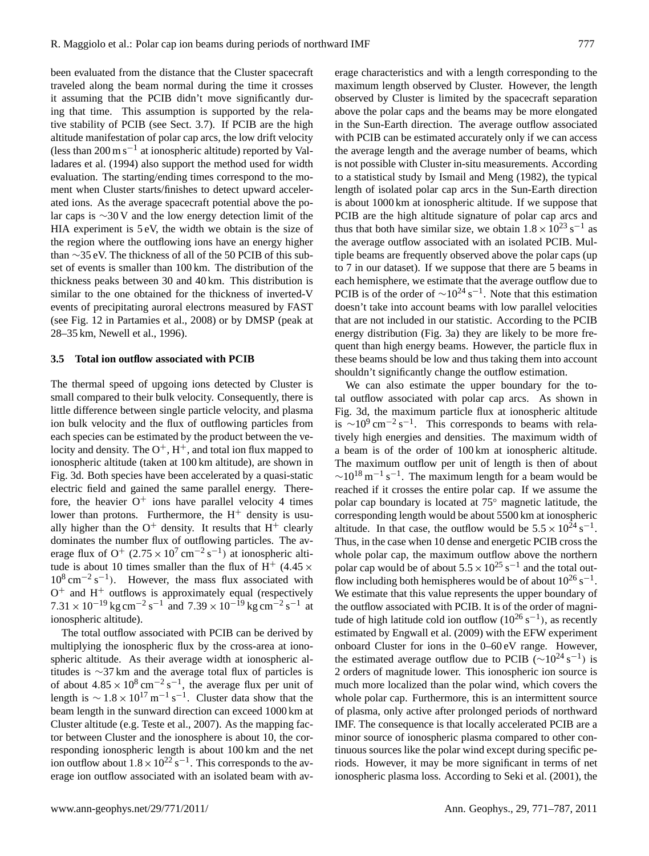been evaluated from the distance that the Cluster spacecraft traveled along the beam normal during the time it crosses it assuming that the PCIB didn't move significantly during that time. This assumption is supported by the relative stability of PCIB (see Sect. 3.7). If PCIB are the high altitude manifestation of polar cap arcs, the low drift velocity (less than 200 m s−<sup>1</sup> at ionospheric altitude) reported by Valladares et al. (1994) also support the method used for width evaluation. The starting/ending times correspond to the moment when Cluster starts/finishes to detect upward accelerated ions. As the average spacecraft potential above the polar caps is ∼30 V and the low energy detection limit of the HIA experiment is 5 eV, the width we obtain is the size of the region where the outflowing ions have an energy higher than ∼35 eV. The thickness of all of the 50 PCIB of this subset of events is smaller than 100 km. The distribution of the thickness peaks between 30 and 40 km. This distribution is similar to the one obtained for the thickness of inverted-V events of precipitating auroral electrons measured by FAST (see Fig. 12 in Partamies et al., 2008) or by DMSP (peak at 28–35 km, Newell et al., 1996).

## **3.5 Total ion outflow associated with PCIB**

The thermal speed of upgoing ions detected by Cluster is small compared to their bulk velocity. Consequently, there is little difference between single particle velocity, and plasma ion bulk velocity and the flux of outflowing particles from each species can be estimated by the product between the velocity and density. The  $O^+$ ,  $H^+$ , and total ion flux mapped to ionospheric altitude (taken at 100 km altitude), are shown in Fig. 3d. Both species have been accelerated by a quasi-static electric field and gained the same parallel energy. Therefore, the heavier  $O^+$  ions have parallel velocity 4 times lower than protons. Furthermore, the  $H^+$  density is usually higher than the  $O^+$  density. It results that  $H^+$  clearly dominates the number flux of outflowing particles. The average flux of O<sup>+</sup>  $(2.75 \times 10^7 \text{ cm}^{-2} \text{ s}^{-1})$  at ionospheric altitude is about 10 times smaller than the flux of H<sup>+</sup> (4.45  $\times$  $10^8 \text{ cm}^{-2} \text{ s}^{-1}$ ). However, the mass flux associated with  $O<sup>+</sup>$  and  $H<sup>+</sup>$  outflows is approximately equal (respectively  $7.31 \times 10^{-19}$  kg cm<sup>-2</sup> s<sup>-1</sup> and  $7.39 \times 10^{-19}$  kg cm<sup>-2</sup> s<sup>-1</sup> at ionospheric altitude).

The total outflow associated with PCIB can be derived by multiplying the ionospheric flux by the cross-area at ionospheric altitude. As their average width at ionospheric altitudes is ∼37 km and the average total flux of particles is of about  $4.85 \times 10^8 \text{ cm}^{-2} \text{ s}^{-1}$ , the average flux per unit of length is  $\sim 1.8 \times 10^{17} \text{ m}^{-1} \text{ s}^{-1}$ . Cluster data show that the beam length in the sunward direction can exceed 1000 km at Cluster altitude (e.g. Teste et al., 2007). As the mapping factor between Cluster and the ionosphere is about 10, the corresponding ionospheric length is about 100 km and the net ion outflow about  $1.8 \times 10^{22}$  s<sup>-1</sup>. This corresponds to the average ion outflow associated with an isolated beam with average characteristics and with a length corresponding to the maximum length observed by Cluster. However, the length observed by Cluster is limited by the spacecraft separation above the polar caps and the beams may be more elongated in the Sun-Earth direction. The average outflow associated with PCIB can be estimated accurately only if we can access the average length and the average number of beams, which is not possible with Cluster in-situ measurements. According to a statistical study by Ismail and Meng (1982), the typical length of isolated polar cap arcs in the Sun-Earth direction is about 1000 km at ionospheric altitude. If we suppose that PCIB are the high altitude signature of polar cap arcs and thus that both have similar size, we obtain  $1.8 \times 10^{23}$  s<sup>-1</sup> as the average outflow associated with an isolated PCIB. Multiple beams are frequently observed above the polar caps (up to 7 in our dataset). If we suppose that there are 5 beams in each hemisphere, we estimate that the average outflow due to PCIB is of the order of  $\sim 10^{24}$  s<sup>-1</sup>. Note that this estimation doesn't take into account beams with low parallel velocities that are not included in our statistic. According to the PCIB energy distribution (Fig. 3a) they are likely to be more frequent than high energy beams. However, the particle flux in these beams should be low and thus taking them into account shouldn't significantly change the outflow estimation.

We can also estimate the upper boundary for the total outflow associated with polar cap arcs. As shown in Fig. 3d, the maximum particle flux at ionospheric altitude is ~10<sup>9</sup> cm<sup>-2</sup> s<sup>-1</sup>. This corresponds to beams with relatively high energies and densities. The maximum width of a beam is of the order of 100 km at ionospheric altitude. The maximum outflow per unit of length is then of about  $\sim$ 10<sup>18</sup> m<sup>-1</sup> s<sup>-1</sup>. The maximum length for a beam would be reached if it crosses the entire polar cap. If we assume the polar cap boundary is located at 75◦ magnetic latitude, the corresponding length would be about 5500 km at ionospheric altitude. In that case, the outflow would be  $5.5 \times 10^{24}$  s<sup>-1</sup>. Thus, in the case when 10 dense and energetic PCIB cross the whole polar cap, the maximum outflow above the northern polar cap would be of about  $5.5 \times 10^{25}$  s<sup>-1</sup> and the total outflow including both hemispheres would be of about  $10^{26}$  s<sup>-1</sup>. We estimate that this value represents the upper boundary of the outflow associated with PCIB. It is of the order of magnitude of high latitude cold ion outflow  $(10^{26} \text{ s}^{-1})$ , as recently estimated by Engwall et al. (2009) with the EFW experiment onboard Cluster for ions in the 0–60 eV range. However, the estimated average outflow due to PCIB ( $\sim$ 10<sup>24</sup> s<sup>-1</sup>) is 2 orders of magnitude lower. This ionospheric ion source is much more localized than the polar wind, which covers the whole polar cap. Furthermore, this is an intermittent source of plasma, only active after prolonged periods of northward IMF. The consequence is that locally accelerated PCIB are a minor source of ionospheric plasma compared to other continuous sources like the polar wind except during specific periods. However, it may be more significant in terms of net ionospheric plasma loss. According to Seki et al. (2001), the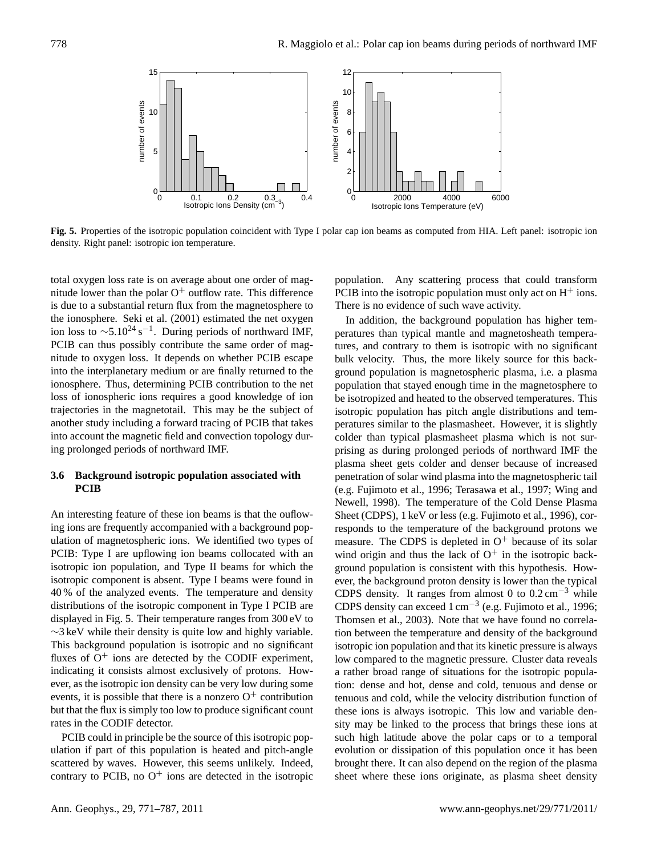

**Fig. 5.** Properties of the isotropic population coincident with Type I polar cap ion beams as computed from HIA. Left panel: isotropic ion density. Right panel: isotropic ion temperature.

total oxygen loss rate is on average about one order of magnitude lower than the polar  $O^+$  outflow rate. This difference is due to a substantial return flux from the magnetosphere to the ionosphere. Seki et al. (2001) estimated the net oxygen ion loss to  $\sim$ 5.10<sup>24</sup> s<sup>-1</sup>. During periods of northward IMF, PCIB can thus possibly contribute the same order of magnitude to oxygen loss. It depends on whether PCIB escape into the interplanetary medium or are finally returned to the ionosphere. Thus, determining PCIB contribution to the net loss of ionospheric ions requires a good knowledge of ion trajectories in the magnetotail. This may be the subject of another study including a forward tracing of PCIB that takes into account the magnetic field and convection topology during prolonged periods of northward IMF.

# **3.6 Background isotropic population associated with PCIB**

An interesting feature of these ion beams is that the ouflowing ions are frequently accompanied with a background population of magnetospheric ions. We identified two types of PCIB: Type I are upflowing ion beams collocated with an isotropic ion population, and Type II beams for which the isotropic component is absent. Type I beams were found in 40 % of the analyzed events. The temperature and density distributions of the isotropic component in Type I PCIB are displayed in Fig. 5. Their temperature ranges from 300 eV to ∼3 keV while their density is quite low and highly variable. This background population is isotropic and no significant fluxes of  $O^+$  ions are detected by the CODIF experiment, indicating it consists almost exclusively of protons. However, as the isotropic ion density can be very low during some events, it is possible that there is a nonzero  $O^+$  contribution but that the flux is simply too low to produce significant count rates in the CODIF detector.

PCIB could in principle be the source of this isotropic population if part of this population is heated and pitch-angle scattered by waves. However, this seems unlikely. Indeed, contrary to PCIB, no  $O^+$  ions are detected in the isotropic population. Any scattering process that could transform PCIB into the isotropic population must only act on  $H^+$  ions. There is no evidence of such wave activity.

In addition, the background population has higher temperatures than typical mantle and magnetosheath temperatures, and contrary to them is isotropic with no significant bulk velocity. Thus, the more likely source for this background population is magnetospheric plasma, i.e. a plasma population that stayed enough time in the magnetosphere to be isotropized and heated to the observed temperatures. This isotropic population has pitch angle distributions and temperatures similar to the plasmasheet. However, it is slightly colder than typical plasmasheet plasma which is not surprising as during prolonged periods of northward IMF the plasma sheet gets colder and denser because of increased penetration of solar wind plasma into the magnetospheric tail (e.g. Fujimoto et al., 1996; Terasawa et al., 1997; Wing and Newell, 1998). The temperature of the Cold Dense Plasma Sheet (CDPS), 1 keV or less (e.g. Fujimoto et al., 1996), corresponds to the temperature of the background protons we measure. The CDPS is depleted in  $O<sup>+</sup>$  because of its solar wind origin and thus the lack of  $O^+$  in the isotropic background population is consistent with this hypothesis. However, the background proton density is lower than the typical CDPS density. It ranges from almost 0 to  $0.2 \text{ cm}^{-3}$  while CDPS density can exceed 1 cm−<sup>3</sup> (e.g. Fujimoto et al., 1996; Thomsen et al., 2003). Note that we have found no correlation between the temperature and density of the background isotropic ion population and that its kinetic pressure is always low compared to the magnetic pressure. Cluster data reveals a rather broad range of situations for the isotropic population: dense and hot, dense and cold, tenuous and dense or tenuous and cold, while the velocity distribution function of these ions is always isotropic. This low and variable density may be linked to the process that brings these ions at such high latitude above the polar caps or to a temporal evolution or dissipation of this population once it has been brought there. It can also depend on the region of the plasma sheet where these ions originate, as plasma sheet density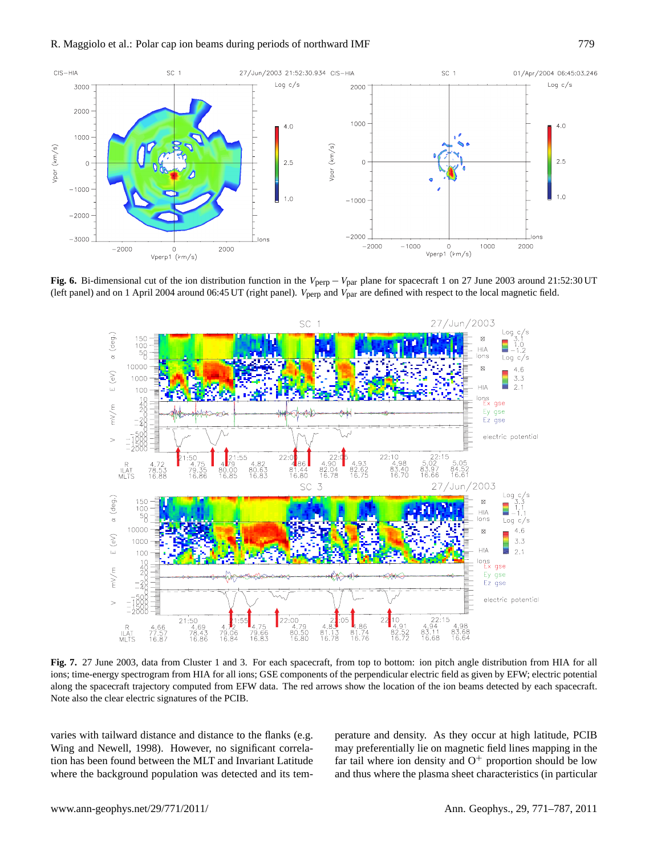

**Fig. 6.** Bi-dimensional cut of the ion distribution function in the V<sub>perp</sub> − V<sub>par</sub> plane for spacecraft 1 on 27 June 2003 around 21:52:30 UT (left panel) and on 1 April 2004 around 06:45 UT (right panel).  $V_{\text{perp}}$  and  $V_{\text{par}}$  are defined with respect to the local magnetic field.



**Fig. 7.** 27 June 2003, data from Cluster 1 and 3. For each spacecraft, from top to bottom: ion pitch angle distribution from HIA for all ions; time-energy spectrogram from HIA for all ions; GSE components of the perpendicular electric field as given by EFW; electric potential along the spacecraft trajectory computed from EFW data. The red arrows show the location of the ion beams detected by each spacecraft. Note also the clear electric signatures of the PCIB.

varies with tailward distance and distance to the flanks (e.g. Wing and Newell, 1998). However, no significant correlation has been found between the MLT and Invariant Latitude where the background population was detected and its temperature and density. As they occur at high latitude, PCIB may preferentially lie on magnetic field lines mapping in the far tail where ion density and  $O^+$  proportion should be low and thus where the plasma sheet characteristics (in particular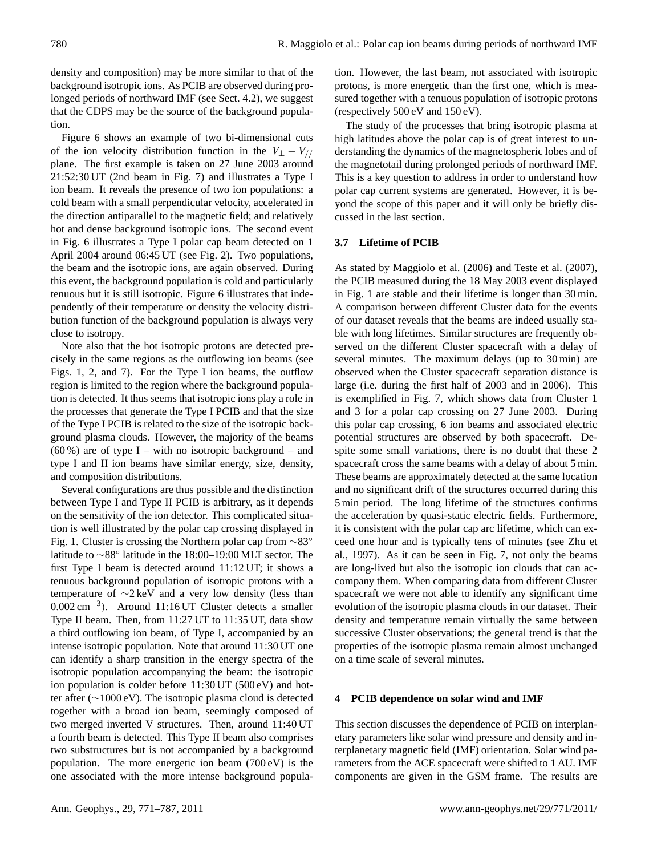density and composition) may be more similar to that of the background isotropic ions. As PCIB are observed during prolonged periods of northward IMF (see Sect. 4.2), we suggest that the CDPS may be the source of the background population.

Figure 6 shows an example of two bi-dimensional cuts of the ion velocity distribution function in the  $V_{\perp} - V_{//}$ plane. The first example is taken on 27 June 2003 around 21:52:30 UT (2nd beam in Fig. 7) and illustrates a Type I ion beam. It reveals the presence of two ion populations: a cold beam with a small perpendicular velocity, accelerated in the direction antiparallel to the magnetic field; and relatively hot and dense background isotropic ions. The second event in Fig. 6 illustrates a Type I polar cap beam detected on 1 April 2004 around 06:45 UT (see Fig. 2). Two populations, the beam and the isotropic ions, are again observed. During this event, the background population is cold and particularly tenuous but it is still isotropic. Figure 6 illustrates that independently of their temperature or density the velocity distribution function of the background population is always very close to isotropy.

Note also that the hot isotropic protons are detected precisely in the same regions as the outflowing ion beams (see Figs. 1, 2, and 7). For the Type I ion beams, the outflow region is limited to the region where the background population is detected. It thus seems that isotropic ions play a role in the processes that generate the Type I PCIB and that the size of the Type I PCIB is related to the size of the isotropic background plasma clouds. However, the majority of the beams  $(60\%)$  are of type I – with no isotropic background – and type I and II ion beams have similar energy, size, density, and composition distributions.

Several configurations are thus possible and the distinction between Type I and Type II PCIB is arbitrary, as it depends on the sensitivity of the ion detector. This complicated situation is well illustrated by the polar cap crossing displayed in Fig. 1. Cluster is crossing the Northern polar cap from ∼83◦ latitude to ∼88◦ latitude in the 18:00–19:00 MLT sector. The first Type I beam is detected around 11:12 UT; it shows a tenuous background population of isotropic protons with a temperature of ∼2 keV and a very low density (less than 0.002 cm−<sup>3</sup> ). Around 11:16 UT Cluster detects a smaller Type II beam. Then, from 11:27 UT to 11:35 UT, data show a third outflowing ion beam, of Type I, accompanied by an intense isotropic population. Note that around 11:30 UT one can identify a sharp transition in the energy spectra of the isotropic population accompanying the beam: the isotropic ion population is colder before 11:30 UT (500 eV) and hotter after (∼1000 eV). The isotropic plasma cloud is detected together with a broad ion beam, seemingly composed of two merged inverted V structures. Then, around 11:40 UT a fourth beam is detected. This Type II beam also comprises two substructures but is not accompanied by a background population. The more energetic ion beam (700 eV) is the one associated with the more intense background population. However, the last beam, not associated with isotropic protons, is more energetic than the first one, which is measured together with a tenuous population of isotropic protons (respectively 500 eV and 150 eV).

The study of the processes that bring isotropic plasma at high latitudes above the polar cap is of great interest to understanding the dynamics of the magnetospheric lobes and of the magnetotail during prolonged periods of northward IMF. This is a key question to address in order to understand how polar cap current systems are generated. However, it is beyond the scope of this paper and it will only be briefly discussed in the last section.

## **3.7 Lifetime of PCIB**

As stated by Maggiolo et al. (2006) and Teste et al. (2007), the PCIB measured during the 18 May 2003 event displayed in Fig. 1 are stable and their lifetime is longer than 30 min. A comparison between different Cluster data for the events of our dataset reveals that the beams are indeed usually stable with long lifetimes. Similar structures are frequently observed on the different Cluster spacecraft with a delay of several minutes. The maximum delays (up to 30 min) are observed when the Cluster spacecraft separation distance is large (i.e. during the first half of 2003 and in 2006). This is exemplified in Fig. 7, which shows data from Cluster 1 and 3 for a polar cap crossing on 27 June 2003. During this polar cap crossing, 6 ion beams and associated electric potential structures are observed by both spacecraft. Despite some small variations, there is no doubt that these 2 spacecraft cross the same beams with a delay of about 5 min. These beams are approximately detected at the same location and no significant drift of the structures occurred during this 5 min period. The long lifetime of the structures confirms the acceleration by quasi-static electric fields. Furthermore, it is consistent with the polar cap arc lifetime, which can exceed one hour and is typically tens of minutes (see Zhu et al., 1997). As it can be seen in Fig. 7, not only the beams are long-lived but also the isotropic ion clouds that can accompany them. When comparing data from different Cluster spacecraft we were not able to identify any significant time evolution of the isotropic plasma clouds in our dataset. Their density and temperature remain virtually the same between successive Cluster observations; the general trend is that the properties of the isotropic plasma remain almost unchanged on a time scale of several minutes.

## **4 PCIB dependence on solar wind and IMF**

This section discusses the dependence of PCIB on interplanetary parameters like solar wind pressure and density and interplanetary magnetic field (IMF) orientation. Solar wind parameters from the ACE spacecraft were shifted to 1 AU. IMF components are given in the GSM frame. The results are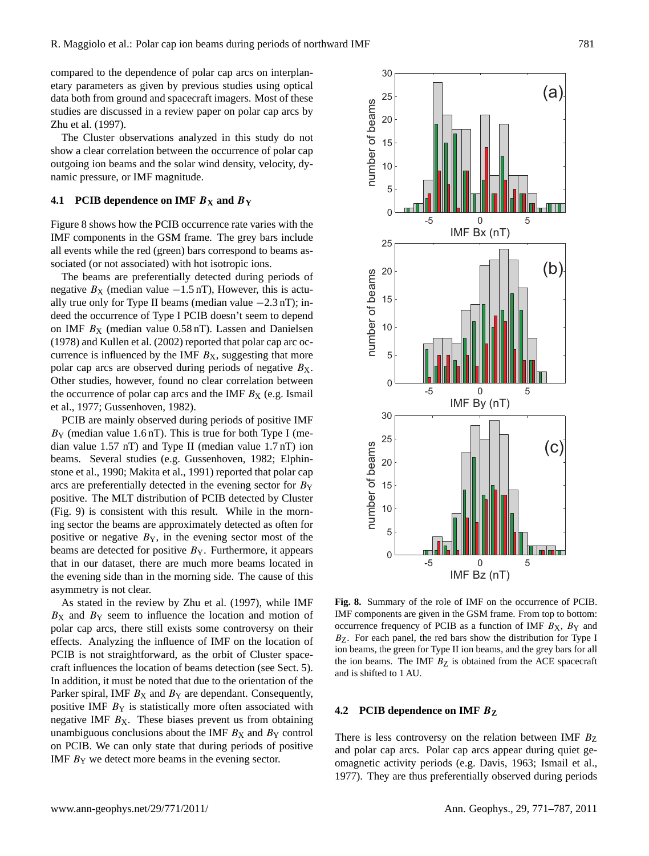compared to the dependence of polar cap arcs on interplanetary parameters as given by previous studies using optical data both from ground and spacecraft imagers. Most of these studies are discussed in a review paper on polar cap arcs by Zhu et al. (1997).

The Cluster observations analyzed in this study do not show a clear correlation between the occurrence of polar cap outgoing ion beams and the solar wind density, velocity, dynamic pressure, or IMF magnitude.

## **4.1 PCIB dependence on IMF**  $B_X$  **and**  $B_Y$

Figure 8 shows how the PCIB occurrence rate varies with the IMF components in the GSM frame. The grey bars include all events while the red (green) bars correspond to beams associated (or not associated) with hot isotropic ions.

The beams are preferentially detected during periods of negative  $B_X$  (median value  $-1.5$  nT), However, this is actually true only for Type II beams (median value −2.3 nT); indeed the occurrence of Type I PCIB doesn't seem to depend on IMF  $B_X$  (median value 0.58 nT). Lassen and Danielsen (1978) and Kullen et al. (2002) reported that polar cap arc occurrence is influenced by the IMF  $B<sub>X</sub>$ , suggesting that more polar cap arcs are observed during periods of negative  $B_X$ . Other studies, however, found no clear correlation between the occurrence of polar cap arcs and the IMF  $B<sub>X</sub>$  (e.g. Ismail et al., 1977; Gussenhoven, 1982).

PCIB are mainly observed during periods of positive IMF  $B_Y$  (median value 1.6 nT). This is true for both Type I (median value 1.57 nT) and Type II (median value 1.7 nT) ion beams. Several studies (e.g. Gussenhoven, 1982; Elphinstone et al., 1990; Makita et al., 1991) reported that polar cap arcs are preferentially detected in the evening sector for  $B_Y$ positive. The MLT distribution of PCIB detected by Cluster (Fig. 9) is consistent with this result. While in the morning sector the beams are approximately detected as often for positive or negative  $B_Y$ , in the evening sector most of the beams are detected for positive  $B_Y$ . Furthermore, it appears that in our dataset, there are much more beams located in the evening side than in the morning side. The cause of this asymmetry is not clear.

As stated in the review by Zhu et al. (1997), while IMF  $B_X$  and  $B_Y$  seem to influence the location and motion of polar cap arcs, there still exists some controversy on their effects. Analyzing the influence of IMF on the location of PCIB is not straightforward, as the orbit of Cluster spacecraft influences the location of beams detection (see Sect. 5). In addition, it must be noted that due to the orientation of the Parker spiral, IMF  $B_X$  and  $B_Y$  are dependant. Consequently, positive IMF  $B_Y$  is statistically more often associated with negative IMF  $B_X$ . These biases prevent us from obtaining unambiguous conclusions about the IMF  $B<sub>X</sub>$  and  $B<sub>Y</sub>$  control on PCIB. We can only state that during periods of positive IMF  $B_Y$  we detect more beams in the evening sector.



**Fig. 8.** Summary of the role of IMF on the occurrence of PCIB. IMF components are given in the GSM frame. From top to bottom: occurrence frequency of PCIB as a function of IMF  $B_X$ ,  $B_Y$  and  $B_{Z}$ . For each panel, the red bars show the distribution for Type I ion beams, the green for Type II ion beams, and the grey bars for all the ion beams. The IMF  $B<sub>Z</sub>$  is obtained from the ACE spacecraft and is shifted to 1 AU.

#### **4.2 PCIB dependence on IMF** B**<sup>Z</sup>**

There is less controversy on the relation between IMF  $B_{Z}$ and polar cap arcs. Polar cap arcs appear during quiet geomagnetic activity periods (e.g. Davis, 1963; Ismail et al., 1977). They are thus preferentially observed during periods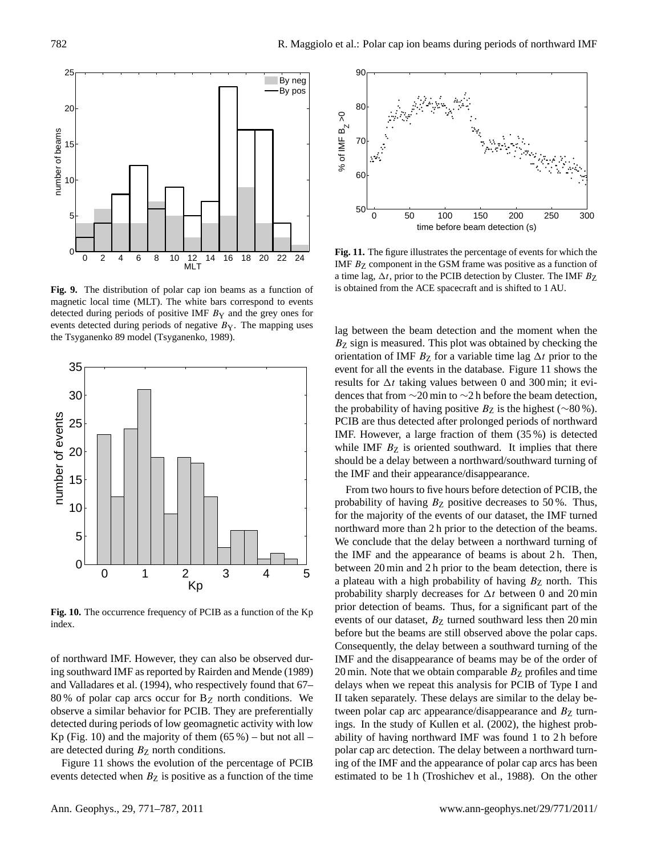

**Fig. 9.** The distribution of polar cap ion beams as a function of magnetic local time (MLT). The white bars correspond to events detected during periods of positive IMF  $B<sub>Y</sub>$  and the grey ones for events detected during periods of negative  $B_Y$ . The mapping uses the Tsyganenko 89 model (Tsyganenko, 1989).



**Fig. 10.** The occurrence frequency of PCIB as a function of the Kp index.

of northward IMF. However, they can also be observed during southward IMF as reported by Rairden and Mende (1989) and Valladares et al. (1994), who respectively found that 67– 80 % of polar cap arcs occur for  $B_Z$  north conditions. We observe a similar behavior for PCIB. They are preferentially detected during periods of low geomagnetic activity with low Kp (Fig. 10) and the majority of them  $(65\%)$  – but not all – are detected during  $B<sub>Z</sub>$  north conditions.

Figure 11 shows the evolution of the percentage of PCIB events detected when  $B_Z$  is positive as a function of the time



**Fig. 11.** The figure illustrates the percentage of events for which the IMF  $B<sub>Z</sub>$  component in the GSM frame was positive as a function of a time lag,  $\Delta t$ , prior to the PCIB detection by Cluster. The IMF  $B_{\rm Z}$ is obtained from the ACE spacecraft and is shifted to 1 AU.

lag between the beam detection and the moment when the  $B<sub>Z</sub>$  sign is measured. This plot was obtained by checking the orientation of IMF  $B<sub>Z</sub>$  for a variable time lag  $\Delta t$  prior to the event for all the events in the database. Figure 11 shows the results for  $\Delta t$  taking values between 0 and 300 min; it evidences that from ∼20 min to ∼2 h before the beam detection, the probability of having positive  $B_Z$  is the highest (∼80 %). PCIB are thus detected after prolonged periods of northward IMF. However, a large fraction of them (35 %) is detected while IMF  $B<sub>Z</sub>$  is oriented southward. It implies that there should be a delay between a northward/southward turning of the IMF and their appearance/disappearance.

From two hours to five hours before detection of PCIB, the probability of having  $B<sub>Z</sub>$  positive decreases to 50%. Thus, for the majority of the events of our dataset, the IMF turned northward more than 2 h prior to the detection of the beams. We conclude that the delay between a northward turning of the IMF and the appearance of beams is about 2 h. Then, between 20 min and 2 h prior to the beam detection, there is a plateau with a high probability of having  $B<sub>Z</sub>$  north. This probability sharply decreases for  $\Delta t$  between 0 and 20 min prior detection of beams. Thus, for a significant part of the events of our dataset,  $B<sub>Z</sub>$  turned southward less then 20 min before but the beams are still observed above the polar caps. Consequently, the delay between a southward turning of the IMF and the disappearance of beams may be of the order of 20 min. Note that we obtain comparable  $B<sub>Z</sub>$  profiles and time delays when we repeat this analysis for PCIB of Type I and II taken separately. These delays are similar to the delay between polar cap arc appearance/disappearance and  $B<sub>Z</sub>$  turnings. In the study of Kullen et al. (2002), the highest probability of having northward IMF was found 1 to 2 h before polar cap arc detection. The delay between a northward turning of the IMF and the appearance of polar cap arcs has been estimated to be 1 h (Troshichev et al., 1988). On the other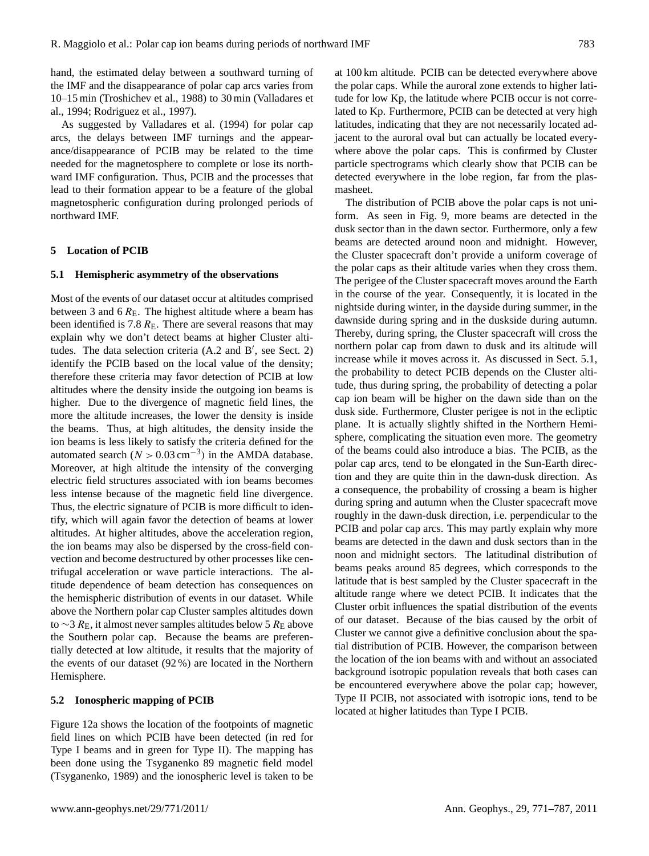hand, the estimated delay between a southward turning of the IMF and the disappearance of polar cap arcs varies from 10–15 min (Troshichev et al., 1988) to 30 min (Valladares et al., 1994; Rodriguez et al., 1997).

As suggested by Valladares et al. (1994) for polar cap arcs, the delays between IMF turnings and the appearance/disappearance of PCIB may be related to the time needed for the magnetosphere to complete or lose its northward IMF configuration. Thus, PCIB and the processes that lead to their formation appear to be a feature of the global magnetospheric configuration during prolonged periods of northward IMF.

#### **5 Location of PCIB**

### **5.1 Hemispheric asymmetry of the observations**

Most of the events of our dataset occur at altitudes comprised between 3 and 6  $R<sub>E</sub>$ . The highest altitude where a beam has been identified is 7.8  $R<sub>E</sub>$ . There are several reasons that may explain why we don't detect beams at higher Cluster altitudes. The data selection criteria  $(A.2 \text{ and } B', \text{ see Sect. 2})$ identify the PCIB based on the local value of the density; therefore these criteria may favor detection of PCIB at low altitudes where the density inside the outgoing ion beams is higher. Due to the divergence of magnetic field lines, the more the altitude increases, the lower the density is inside the beams. Thus, at high altitudes, the density inside the ion beams is less likely to satisfy the criteria defined for the automated search ( $N > 0.03$  cm<sup>-3</sup>) in the AMDA database. Moreover, at high altitude the intensity of the converging electric field structures associated with ion beams becomes less intense because of the magnetic field line divergence. Thus, the electric signature of PCIB is more difficult to identify, which will again favor the detection of beams at lower altitudes. At higher altitudes, above the acceleration region, the ion beams may also be dispersed by the cross-field convection and become destructured by other processes like centrifugal acceleration or wave particle interactions. The altitude dependence of beam detection has consequences on the hemispheric distribution of events in our dataset. While above the Northern polar cap Cluster samples altitudes down to ∼3  $R_{\rm E}$ , it almost never samples altitudes below 5  $R_{\rm E}$  above the Southern polar cap. Because the beams are preferentially detected at low altitude, it results that the majority of the events of our dataset (92 %) are located in the Northern Hemisphere.

# **5.2 Ionospheric mapping of PCIB**

Figure 12a shows the location of the footpoints of magnetic field lines on which PCIB have been detected (in red for Type I beams and in green for Type II). The mapping has been done using the Tsyganenko 89 magnetic field model (Tsyganenko, 1989) and the ionospheric level is taken to be at 100 km altitude. PCIB can be detected everywhere above the polar caps. While the auroral zone extends to higher latitude for low Kp, the latitude where PCIB occur is not correlated to Kp. Furthermore, PCIB can be detected at very high latitudes, indicating that they are not necessarily located adjacent to the auroral oval but can actually be located everywhere above the polar caps. This is confirmed by Cluster particle spectrograms which clearly show that PCIB can be detected everywhere in the lobe region, far from the plasmasheet.

The distribution of PCIB above the polar caps is not uniform. As seen in Fig. 9, more beams are detected in the dusk sector than in the dawn sector. Furthermore, only a few beams are detected around noon and midnight. However, the Cluster spacecraft don't provide a uniform coverage of the polar caps as their altitude varies when they cross them. The perigee of the Cluster spacecraft moves around the Earth in the course of the year. Consequently, it is located in the nightside during winter, in the dayside during summer, in the dawnside during spring and in the duskside during autumn. Thereby, during spring, the Cluster spacecraft will cross the northern polar cap from dawn to dusk and its altitude will increase while it moves across it. As discussed in Sect. 5.1, the probability to detect PCIB depends on the Cluster altitude, thus during spring, the probability of detecting a polar cap ion beam will be higher on the dawn side than on the dusk side. Furthermore, Cluster perigee is not in the ecliptic plane. It is actually slightly shifted in the Northern Hemisphere, complicating the situation even more. The geometry of the beams could also introduce a bias. The PCIB, as the polar cap arcs, tend to be elongated in the Sun-Earth direction and they are quite thin in the dawn-dusk direction. As a consequence, the probability of crossing a beam is higher during spring and autumn when the Cluster spacecraft move roughly in the dawn-dusk direction, i.e. perpendicular to the PCIB and polar cap arcs. This may partly explain why more beams are detected in the dawn and dusk sectors than in the noon and midnight sectors. The latitudinal distribution of beams peaks around 85 degrees, which corresponds to the latitude that is best sampled by the Cluster spacecraft in the altitude range where we detect PCIB. It indicates that the Cluster orbit influences the spatial distribution of the events of our dataset. Because of the bias caused by the orbit of Cluster we cannot give a definitive conclusion about the spatial distribution of PCIB. However, the comparison between the location of the ion beams with and without an associated background isotropic population reveals that both cases can be encountered everywhere above the polar cap; however, Type II PCIB, not associated with isotropic ions, tend to be located at higher latitudes than Type I PCIB.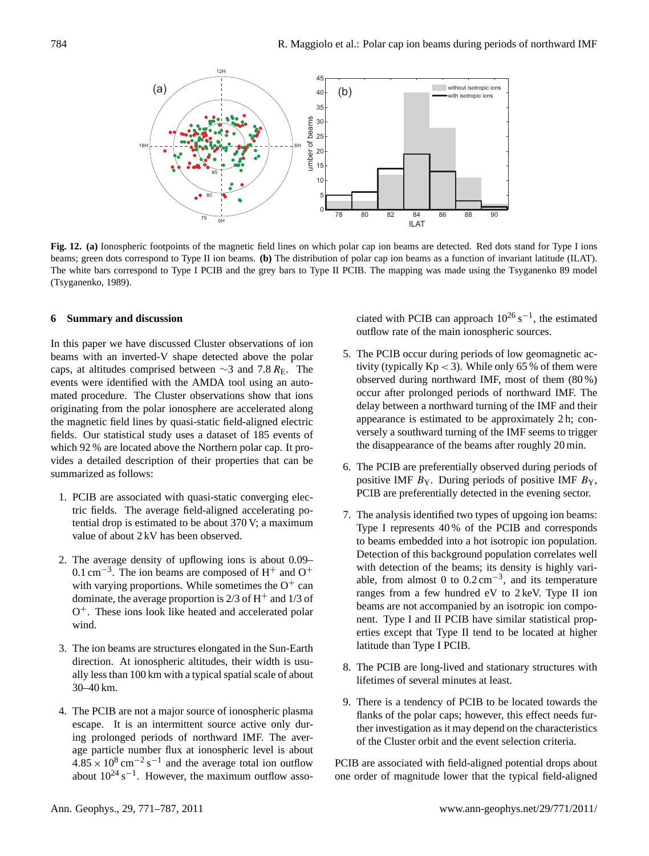

**Fig. 12. (a)** Ionospheric footpoints of the magnetic field lines on which polar cap ion beams are detected. Red dots stand for Type I ions beams; green dots correspond to Type II ion beams. **(b)** The distribution of polar cap ion beams as a function of invariant latitude (ILAT). The white bars correspond to Type I PCIB and the grey bars to Type II PCIB. The mapping was made using the Tsyganenko 89 model (Tsyganenko, 1989).

## **6 Summary and discussion**

In this paper we have discussed Cluster observations of ion beams with an inverted-V shape detected above the polar caps, at altitudes comprised between  $\sim$ 3 and 7.8 R<sub>E</sub>. The events were identified with the AMDA tool using an automated procedure. The Cluster observations show that ions originating from the polar ionosphere are accelerated along the magnetic field lines by quasi-static field-aligned electric fields. Our statistical study uses a dataset of 185 events of which 92 % are located above the Northern polar cap. It provides a detailed description of their properties that can be summarized as follows:

- 1. PCIB are associated with quasi-static converging electric fields. The average field-aligned accelerating potential drop is estimated to be about 370 V; a maximum value of about 2 kV has been observed.
- 2. The average density of upflowing ions is about 0.09–  $0.1 \text{ cm}^{-3}$ . The ion beams are composed of H<sup>+</sup> and O<sup>+</sup> with varying proportions. While sometimes the  $O^+$  can dominate, the average proportion is  $2/3$  of H<sup>+</sup> and  $1/3$  of O<sup>+</sup>. These ions look like heated and accelerated polar wind.
- 3. The ion beams are structures elongated in the Sun-Earth direction. At ionospheric altitudes, their width is usually less than 100 km with a typical spatial scale of about 30–40 km.
- 4. The PCIB are not a major source of ionospheric plasma escape. It is an intermittent source active only during prolonged periods of northward IMF. The average particle number flux at ionospheric level is about  $4.85 \times 10^8 \text{ cm}^{-2} \text{ s}^{-1}$  and the average total ion outflow about  $10^{24}$  s<sup>-1</sup>. However, the maximum outflow asso-

ciated with PCIB can approach  $10^{26}$  s<sup>-1</sup>, the estimated outflow rate of the main ionospheric sources.

- 5. The PCIB occur during periods of low geomagnetic activity (typically  $Kp < 3$ ). While only 65 % of them were observed during northward IMF, most of them (80 %) occur after prolonged periods of northward IMF. The delay between a northward turning of the IMF and their appearance is estimated to be approximately 2 h; conversely a southward turning of the IMF seems to trigger the disappearance of the beams after roughly 20 min.
- 6. The PCIB are preferentially observed during periods of positive IMF  $B_Y$ . During periods of positive IMF  $B_Y$ , PCIB are preferentially detected in the evening sector.
- 7. The analysis identified two types of upgoing ion beams: Type I represents 40 % of the PCIB and corresponds to beams embedded into a hot isotropic ion population. Detection of this background population correlates well with detection of the beams; its density is highly variable, from almost 0 to  $0.2 \text{ cm}^{-3}$ , and its temperature ranges from a few hundred eV to 2 keV. Type II ion beams are not accompanied by an isotropic ion component. Type I and II PCIB have similar statistical properties except that Type II tend to be located at higher latitude than Type I PCIB.
- 8. The PCIB are long-lived and stationary structures with lifetimes of several minutes at least.
- 9. There is a tendency of PCIB to be located towards the flanks of the polar caps; however, this effect needs further investigation as it may depend on the characteristics of the Cluster orbit and the event selection criteria.

PCIB are associated with field-aligned potential drops about one order of magnitude lower that the typical field-aligned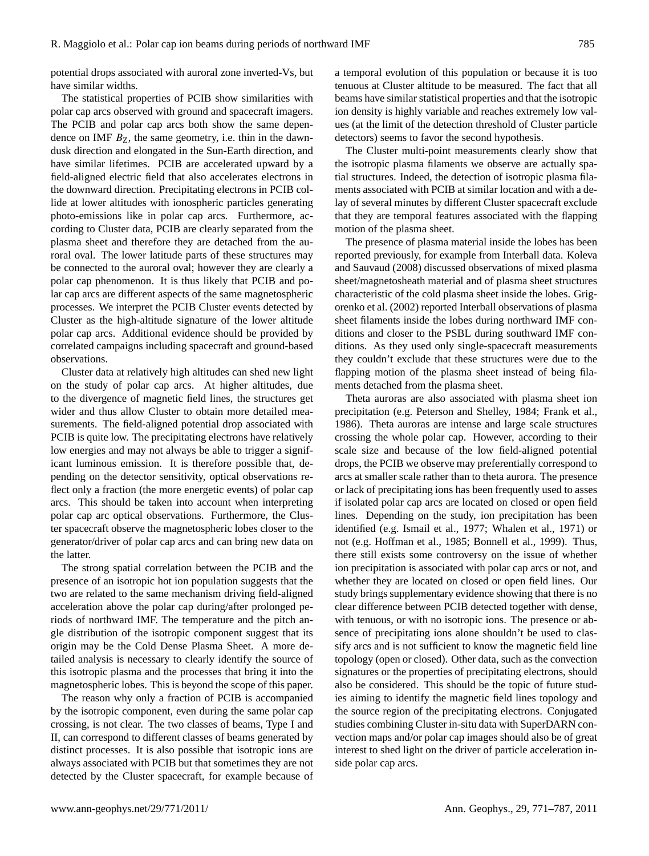potential drops associated with auroral zone inverted-Vs, but have similar widths.

The statistical properties of PCIB show similarities with polar cap arcs observed with ground and spacecraft imagers. The PCIB and polar cap arcs both show the same dependence on IMF  $B_{Z}$ , the same geometry, i.e. thin in the dawndusk direction and elongated in the Sun-Earth direction, and have similar lifetimes. PCIB are accelerated upward by a field-aligned electric field that also accelerates electrons in the downward direction. Precipitating electrons in PCIB collide at lower altitudes with ionospheric particles generating photo-emissions like in polar cap arcs. Furthermore, according to Cluster data, PCIB are clearly separated from the plasma sheet and therefore they are detached from the auroral oval. The lower latitude parts of these structures may be connected to the auroral oval; however they are clearly a polar cap phenomenon. It is thus likely that PCIB and polar cap arcs are different aspects of the same magnetospheric processes. We interpret the PCIB Cluster events detected by Cluster as the high-altitude signature of the lower altitude polar cap arcs. Additional evidence should be provided by correlated campaigns including spacecraft and ground-based observations.

Cluster data at relatively high altitudes can shed new light on the study of polar cap arcs. At higher altitudes, due to the divergence of magnetic field lines, the structures get wider and thus allow Cluster to obtain more detailed measurements. The field-aligned potential drop associated with PCIB is quite low. The precipitating electrons have relatively low energies and may not always be able to trigger a significant luminous emission. It is therefore possible that, depending on the detector sensitivity, optical observations reflect only a fraction (the more energetic events) of polar cap arcs. This should be taken into account when interpreting polar cap arc optical observations. Furthermore, the Cluster spacecraft observe the magnetospheric lobes closer to the generator/driver of polar cap arcs and can bring new data on the latter.

The strong spatial correlation between the PCIB and the presence of an isotropic hot ion population suggests that the two are related to the same mechanism driving field-aligned acceleration above the polar cap during/after prolonged periods of northward IMF. The temperature and the pitch angle distribution of the isotropic component suggest that its origin may be the Cold Dense Plasma Sheet. A more detailed analysis is necessary to clearly identify the source of this isotropic plasma and the processes that bring it into the magnetospheric lobes. This is beyond the scope of this paper.

The reason why only a fraction of PCIB is accompanied by the isotropic component, even during the same polar cap crossing, is not clear. The two classes of beams, Type I and II, can correspond to different classes of beams generated by distinct processes. It is also possible that isotropic ions are always associated with PCIB but that sometimes they are not detected by the Cluster spacecraft, for example because of a temporal evolution of this population or because it is too tenuous at Cluster altitude to be measured. The fact that all beams have similar statistical properties and that the isotropic ion density is highly variable and reaches extremely low values (at the limit of the detection threshold of Cluster particle detectors) seems to favor the second hypothesis.

The Cluster multi-point measurements clearly show that the isotropic plasma filaments we observe are actually spatial structures. Indeed, the detection of isotropic plasma filaments associated with PCIB at similar location and with a delay of several minutes by different Cluster spacecraft exclude that they are temporal features associated with the flapping motion of the plasma sheet.

The presence of plasma material inside the lobes has been reported previously, for example from Interball data. Koleva and Sauvaud (2008) discussed observations of mixed plasma sheet/magnetosheath material and of plasma sheet structures characteristic of the cold plasma sheet inside the lobes. Grigorenko et al. (2002) reported Interball observations of plasma sheet filaments inside the lobes during northward IMF conditions and closer to the PSBL during southward IMF conditions. As they used only single-spacecraft measurements they couldn't exclude that these structures were due to the flapping motion of the plasma sheet instead of being filaments detached from the plasma sheet.

Theta auroras are also associated with plasma sheet ion precipitation (e.g. Peterson and Shelley, 1984; Frank et al., 1986). Theta auroras are intense and large scale structures crossing the whole polar cap. However, according to their scale size and because of the low field-aligned potential drops, the PCIB we observe may preferentially correspond to arcs at smaller scale rather than to theta aurora. The presence or lack of precipitating ions has been frequently used to asses if isolated polar cap arcs are located on closed or open field lines. Depending on the study, ion precipitation has been identified (e.g. Ismail et al., 1977; Whalen et al., 1971) or not (e.g. Hoffman et al., 1985; Bonnell et al., 1999). Thus, there still exists some controversy on the issue of whether ion precipitation is associated with polar cap arcs or not, and whether they are located on closed or open field lines. Our study brings supplementary evidence showing that there is no clear difference between PCIB detected together with dense, with tenuous, or with no isotropic ions. The presence or absence of precipitating ions alone shouldn't be used to classify arcs and is not sufficient to know the magnetic field line topology (open or closed). Other data, such as the convection signatures or the properties of precipitating electrons, should also be considered. This should be the topic of future studies aiming to identify the magnetic field lines topology and the source region of the precipitating electrons. Conjugated studies combining Cluster in-situ data with SuperDARN convection maps and/or polar cap images should also be of great interest to shed light on the driver of particle acceleration inside polar cap arcs.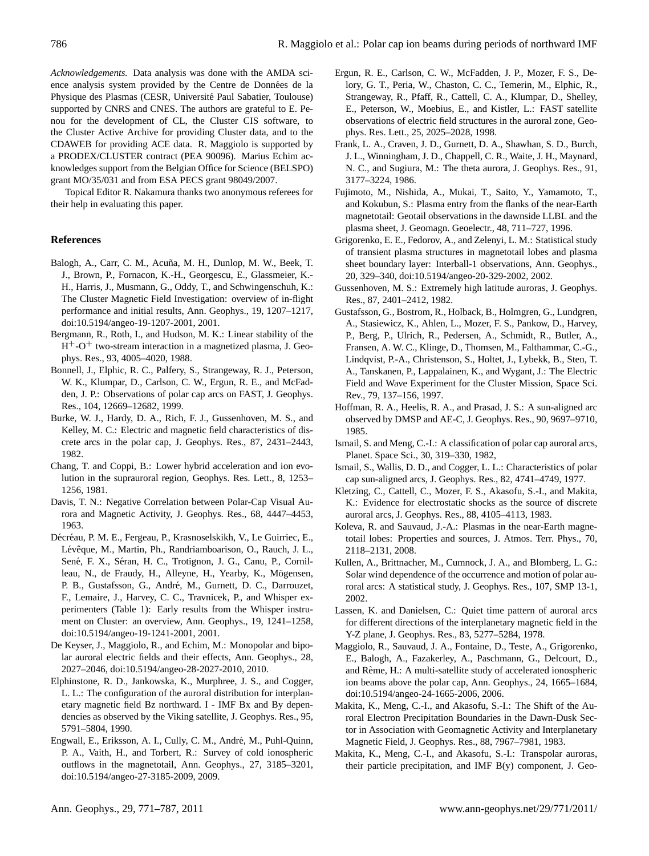*Acknowledgements.* Data analysis was done with the AMDA science analysis system provided by the Centre de Données de la Physique des Plasmas (CESR, Université Paul Sabatier, Toulouse) supported by CNRS and CNES. The authors are grateful to E. Penou for the development of CL, the Cluster CIS software, to the Cluster Active Archive for providing Cluster data, and to the CDAWEB for providing ACE data. R. Maggiolo is supported by a PRODEX/CLUSTER contract (PEA 90096). Marius Echim acknowledges support from the Belgian Office for Science (BELSPO) grant MO/35/031 and from ESA PECS grant 98049/2007.

Topical Editor R. Nakamura thanks two anonymous referees for their help in evaluating this paper.

## **References**

- Balogh, A., Carr, C. M., Acuña, M. H., Dunlop, M. W., Beek, T. J., Brown, P., Fornacon, K.-H., Georgescu, E., Glassmeier, K.- H., Harris, J., Musmann, G., Oddy, T., and Schwingenschuh, K.: The Cluster Magnetic Field Investigation: overview of in-flight performance and initial results, Ann. Geophys., 19, 1207–1217, [doi:10.5194/angeo-19-1207-2001,](http://dx.doi.org/10.5194/angeo-19-1207-2001) 2001.
- Bergmann, R., Roth, I., and Hudson, M. K.: Linear stability of the H<sup>+</sup>-O<sup>+</sup> two-stream interaction in a magnetized plasma, J. Geophys. Res., 93, 4005–4020, 1988.
- Bonnell, J., Elphic, R. C., Palfery, S., Strangeway, R. J., Peterson, W. K., Klumpar, D., Carlson, C. W., Ergun, R. E., and McFadden, J. P.: Observations of polar cap arcs on FAST, J. Geophys. Res., 104, 12669–12682, 1999.
- Burke, W. J., Hardy, D. A., Rich, F. J., Gussenhoven, M. S., and Kelley, M. C.: Electric and magnetic field characteristics of discrete arcs in the polar cap, J. Geophys. Res., 87, 2431–2443, 1982.
- Chang, T. and Coppi, B.: Lower hybrid acceleration and ion evolution in the suprauroral region, Geophys. Res. Lett., 8, 1253– 1256, 1981.
- Davis, T. N.: Negative Correlation between Polar-Cap Visual Aurora and Magnetic Activity, J. Geophys. Res., 68, 4447–4453, 1963.
- Décréau, P. M. E., Fergeau, P., Krasnoselskikh, V., Le Guirriec, E., Lévêque, M., Martin, Ph., Randriamboarison, O., Rauch, J. L., Sené, F. X., Séran, H. C., Trotignon, J. G., Canu, P., Cornilleau, N., de Fraudy, H., Alleyne, H., Yearby, K., Mögensen, P. B., Gustafsson, G., André, M., Gurnett, D. C., Darrouzet, F., Lemaire, J., Harvey, C. C., Travnicek, P., and Whisper experimenters (Table 1): Early results from the Whisper instrument on Cluster: an overview, Ann. Geophys., 19, 1241–1258, [doi:10.5194/angeo-19-1241-2001,](http://dx.doi.org/10.5194/angeo-19-1241-2001) 2001.
- De Keyser, J., Maggiolo, R., and Echim, M.: Monopolar and bipolar auroral electric fields and their effects, Ann. Geophys., 28, 2027–2046, [doi:10.5194/angeo-28-2027-2010,](http://dx.doi.org/10.5194/angeo-28-2027-2010) 2010.
- Elphinstone, R. D., Jankowska, K., Murphree, J. S., and Cogger, L. L.: The configuration of the auroral distribution for interplanetary magnetic field Bz northward. I - IMF Bx and By dependencies as observed by the Viking satellite, J. Geophys. Res., 95, 5791–5804, 1990.
- Engwall, E., Eriksson, A. I., Cully, C. M., André, M., Puhl-Quinn, P. A., Vaith, H., and Torbert, R.: Survey of cold ionospheric outflows in the magnetotail, Ann. Geophys., 27, 3185–3201, [doi:10.5194/angeo-27-3185-2009,](http://dx.doi.org/10.5194/angeo-27-3185-2009) 2009.
- Ergun, R. E., Carlson, C. W., McFadden, J. P., Mozer, F. S., Delory, G. T., Peria, W., Chaston, C. C., Temerin, M., Elphic, R., Strangeway, R., Pfaff, R., Cattell, C. A., Klumpar, D., Shelley, E., Peterson, W., Moebius, E., and Kistler, L.: FAST satellite observations of electric field structures in the auroral zone, Geophys. Res. Lett., 25, 2025–2028, 1998.
- Frank, L. A., Craven, J. D., Gurnett, D. A., Shawhan, S. D., Burch, J. L., Winningham, J. D., Chappell, C. R., Waite, J. H., Maynard, N. C., and Sugiura, M.: The theta aurora, J. Geophys. Res., 91, 3177–3224, 1986.
- Fujimoto, M., Nishida, A., Mukai, T., Saito, Y., Yamamoto, T., and Kokubun, S.: Plasma entry from the flanks of the near-Earth magnetotail: Geotail observations in the dawnside LLBL and the plasma sheet, J. Geomagn. Geoelectr., 48, 711–727, 1996.
- Grigorenko, E. E., Fedorov, A., and Zelenyi, L. M.: Statistical study of transient plasma structures in magnetotail lobes and plasma sheet boundary layer: Interball-1 observations, Ann. Geophys., 20, 329–340, [doi:10.5194/angeo-20-329-2002,](http://dx.doi.org/10.5194/angeo-20-329-2002) 2002.
- Gussenhoven, M. S.: Extremely high latitude auroras, J. Geophys. Res., 87, 2401–2412, 1982.
- Gustafsson, G., Bostrom, R., Holback, B., Holmgren, G., Lundgren, A., Stasiewicz, K., Ahlen, L., Mozer, F. S., Pankow, D., Harvey, P., Berg, P., Ulrich, R., Pedersen, A., Schmidt, R., Butler, A., Fransen, A. W. C., Klinge, D., Thomsen, M., Falthammar, C.-G., Lindqvist, P.-A., Christenson, S., Holtet, J., Lybekk, B., Sten, T. A., Tanskanen, P., Lappalainen, K., and Wygant, J.: The Electric Field and Wave Experiment for the Cluster Mission, Space Sci. Rev., 79, 137–156, 1997.
- Hoffman, R. A., Heelis, R. A., and Prasad, J. S.: A sun-aligned arc observed by DMSP and AE-C, J. Geophys. Res., 90, 9697–9710, 1985.
- Ismail, S. and Meng, C.-I.: A classification of polar cap auroral arcs, Planet. Space Sci., 30, 319–330, 1982,
- Ismail, S., Wallis, D. D., and Cogger, L. L.: Characteristics of polar cap sun-aligned arcs, J. Geophys. Res., 82, 4741–4749, 1977.
- Kletzing, C., Cattell, C., Mozer, F. S., Akasofu, S.-I., and Makita, K.: Evidence for electrostatic shocks as the source of discrete auroral arcs, J. Geophys. Res., 88, 4105–4113, 1983.
- Koleva, R. and Sauvaud, J.-A.: Plasmas in the near-Earth magnetotail lobes: Properties and sources, J. Atmos. Terr. Phys., 70, 2118–2131, 2008.
- Kullen, A., Brittnacher, M., Cumnock, J. A., and Blomberg, L. G.: Solar wind dependence of the occurrence and motion of polar auroral arcs: A statistical study, J. Geophys. Res., 107, SMP 13-1, 2002.
- Lassen, K. and Danielsen, C.: Quiet time pattern of auroral arcs for different directions of the interplanetary magnetic field in the Y-Z plane, J. Geophys. Res., 83, 5277–5284, 1978.
- Maggiolo, R., Sauvaud, J. A., Fontaine, D., Teste, A., Grigorenko, E., Balogh, A., Fazakerley, A., Paschmann, G., Delcourt, D., and Rème, H.: A multi-satellite study of accelerated ionospheric ion beams above the polar cap, Ann. Geophys., 24, 1665–1684, [doi:10.5194/angeo-24-1665-2006,](http://dx.doi.org/10.5194/angeo-24-1665-2006) 2006.
- Makita, K., Meng, C.-I., and Akasofu, S.-I.: The Shift of the Auroral Electron Precipitation Boundaries in the Dawn-Dusk Sector in Association with Geomagnetic Activity and Interplanetary Magnetic Field, J. Geophys. Res., 88, 7967–7981, 1983.
- Makita, K., Meng, C.-I., and Akasofu, S.-I.: Transpolar auroras, their particle precipitation, and IMF B(y) component, J. Geo-